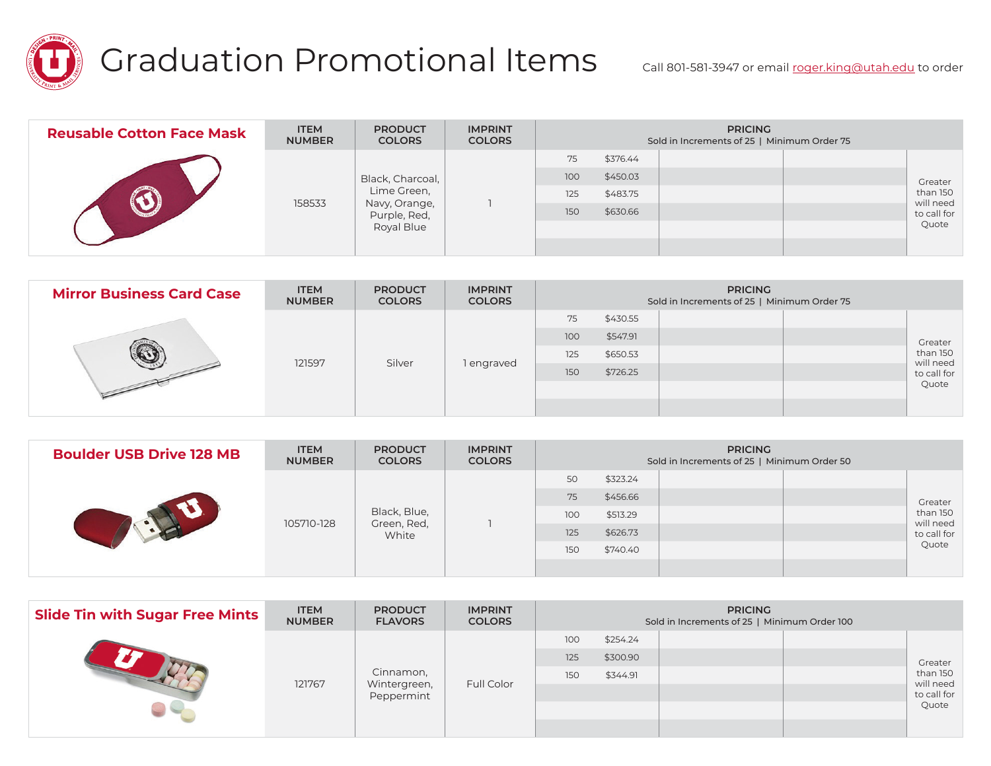

## Graduation Promotional Items call 801-581-3947 or email <u>roger.king@utah.edu</u> to order

| <b>Reusable Cotton Face Mask</b> | <b>ITEM</b><br><b>NUMBER</b> | <b>PRODUCT</b><br><b>COLORS</b>                            | <b>IMPRINT</b><br><b>COLORS</b> | <b>PRICING</b><br>Sold in Increments of 25   Minimum Order 75 |          |  |  |                       |  |
|----------------------------------|------------------------------|------------------------------------------------------------|---------------------------------|---------------------------------------------------------------|----------|--|--|-----------------------|--|
|                                  |                              |                                                            |                                 | 75                                                            | \$376.44 |  |  |                       |  |
|                                  |                              | Black, Charcoal,                                           |                                 | 100                                                           | \$450.03 |  |  | Greater               |  |
|                                  | 158533                       | Lime Green,<br>Navy, Orange,<br>Purple, Red,<br>Royal Blue |                                 | 125                                                           | \$483.75 |  |  | than 150<br>will need |  |
|                                  |                              |                                                            |                                 | 150                                                           | \$630.66 |  |  | to call for           |  |
|                                  |                              |                                                            |                                 |                                                               |          |  |  | Quote                 |  |
|                                  |                              |                                                            |                                 |                                                               |          |  |  |                       |  |

| <b>Mirror Business Card Case</b> | <b>ITEM</b><br><b>NUMBER</b> | <b>PRODUCT</b><br><b>COLORS</b> | <b>IMPRINT</b><br><b>COLORS</b> | <b>PRICING</b><br>Sold in Increments of 25   Minimum Order 75 |          |          |  |         |             |  |  |                       |
|----------------------------------|------------------------------|---------------------------------|---------------------------------|---------------------------------------------------------------|----------|----------|--|---------|-------------|--|--|-----------------------|
|                                  |                              | Silver                          | l engraved                      | 75                                                            | \$430.55 |          |  |         |             |  |  |                       |
|                                  |                              |                                 |                                 | 100                                                           | \$547.91 |          |  | Greater |             |  |  |                       |
|                                  | 121597                       |                                 |                                 |                                                               |          |          |  | 125     | \$650.53    |  |  | than 150<br>will need |
|                                  |                              |                                 |                                 |                                                               | 150      | \$726.25 |  |         | to call for |  |  |                       |
|                                  |                              |                                 |                                 |                                                               |          |          |  | Quote   |             |  |  |                       |
|                                  |                              |                                 |                                 |                                                               |          |          |  |         |             |  |  |                       |

| <b>Boulder USB Drive 128 MB</b> | <b>ITEM</b><br><b>NUMBER</b> | <b>PRODUCT</b><br><b>COLORS</b>      | <b>IMPRINT</b><br><b>COLORS</b> | <b>PRICING</b><br>Sold in Increments of 25   Minimum Order 50 |          |  |             |                       |  |
|---------------------------------|------------------------------|--------------------------------------|---------------------------------|---------------------------------------------------------------|----------|--|-------------|-----------------------|--|
|                                 |                              |                                      |                                 | 50                                                            | \$323.24 |  |             | Greater               |  |
|                                 |                              | Black, Blue,<br>Green, Red,<br>White |                                 | 75                                                            | \$456.66 |  |             |                       |  |
|                                 | 105710-128                   |                                      |                                 | 100                                                           | \$513.29 |  |             | than 150<br>will need |  |
|                                 |                              |                                      |                                 | 125<br>\$626.73                                               |          |  | to call for |                       |  |
|                                 |                              |                                      |                                 | 150                                                           | \$740.40 |  |             | Quote                 |  |
|                                 |                              |                                      |                                 |                                                               |          |  |             |                       |  |

| <b>Slide Tin with Sugar Free Mints</b> | <b>ITEM</b><br><b>NUMBER</b> | <b>PRODUCT</b><br><b>FLAVORS</b>        | <b>IMPRINT</b><br><b>COLORS</b> | <b>PRICING</b><br>Sold in Increments of 25   Minimum Order 100 |          |  |  |                          |  |
|----------------------------------------|------------------------------|-----------------------------------------|---------------------------------|----------------------------------------------------------------|----------|--|--|--------------------------|--|
|                                        |                              | Cinnamon,<br>Wintergreen,<br>Peppermint |                                 | 100                                                            | \$254.24 |  |  | Greater<br>than 150      |  |
|                                        |                              |                                         |                                 | 125                                                            | \$300.90 |  |  |                          |  |
|                                        | 121767                       |                                         |                                 | 150                                                            | \$344.91 |  |  |                          |  |
|                                        |                              |                                         | Full Color                      |                                                                |          |  |  | will need<br>to call for |  |
|                                        |                              |                                         |                                 |                                                                |          |  |  | Quote                    |  |
|                                        |                              |                                         |                                 |                                                                |          |  |  |                          |  |